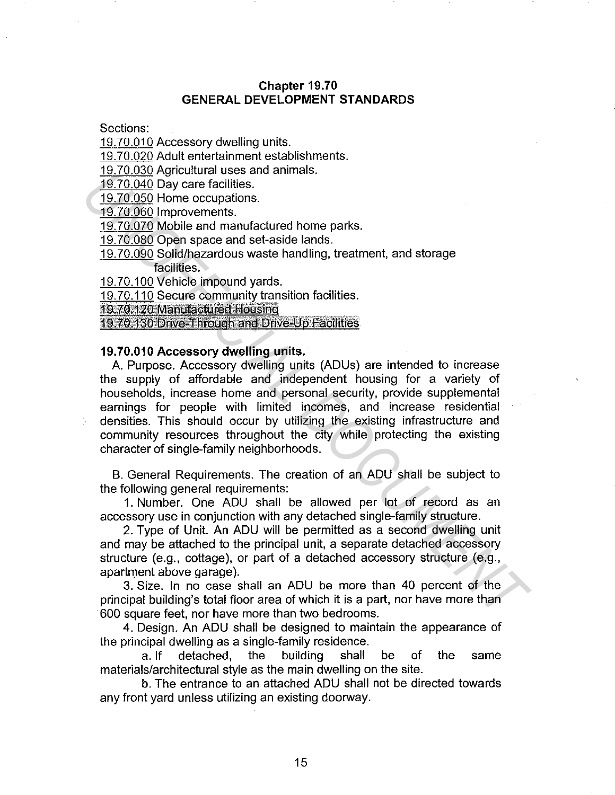## **Chapter 19.70 GENERAL DEVELOPMENT STANDARDS**

Sections:

19.70.010 Accessory dwelling units.

19.70.020 Adult entertainment establishments.

19.70.030 Agricultural uses and animals.

19.70.040 Day care facilities.

19.70.050 Home occupations.

19.70.060 Improvements.

19.70.070 Mobile and manufactured home parks.

19.70.080 Open space and set-aside lands.

19.70.090 Solid/hazardous waste handling, treatment, and storage facilities.

19.70.100 Vehicle impound yards.

19.70.110 Secure community transition facilities.

19.70.120 Manufacured Housing

19.70.130 Drive-Through and Drive-Up Facilities

### **19.70.010 Accessory dwelling units.**

A. Purpose. Accessory dwelling units (ADUs) are intended to increase the supply of affordable and independent housing for a variety of households, increase home and personal security, provide supplemental earnings for people with limited incomes, and increase residential densities. This should occur by utilizing the existing infrastructure and community resources throughout the city while protecting the existing character of single-family neighborhoods. **USING AN** contract soles and annufactured home parks.<br>
19.70.040 Day care facilities.<br>
19.70.050 Improvements.<br>
19.70.060 Improvements.<br>
19.70.060 mprovements.<br>
19.70.060 mprovements.<br>
19.70.080 Soliding area and set-asid

B. General Requirements. The creation of an ADU shall be subject to the following general requirements:

1. Number. One ADU shall be allowed per lot of record as an accessory use in conjunction with any detached single-family structure.

2. Type of Unit. An ADU will be permitted as a second dwelling unit and may be attached to the principal unit, a separate detached accessory structure (e.g., cottage), or part of a detached accessory structure (e.g., apartment above garage).

3. Size. In no case shall an ADU be more than 40 percent of the principal building's total floor area of which it is a part, nor have more than 600 square feet, nor have more than two bedrooms.

4. Design. An ADU shall be designed to maintain the appearance of the principal dwelling as a single-family residence.

a. If detached, the building shall be of the same materials/architectural style as the main dwelling on the site.

b. The entrance to an attached ADU shall not be directed towards any front yard unless utilizing an existing doorway.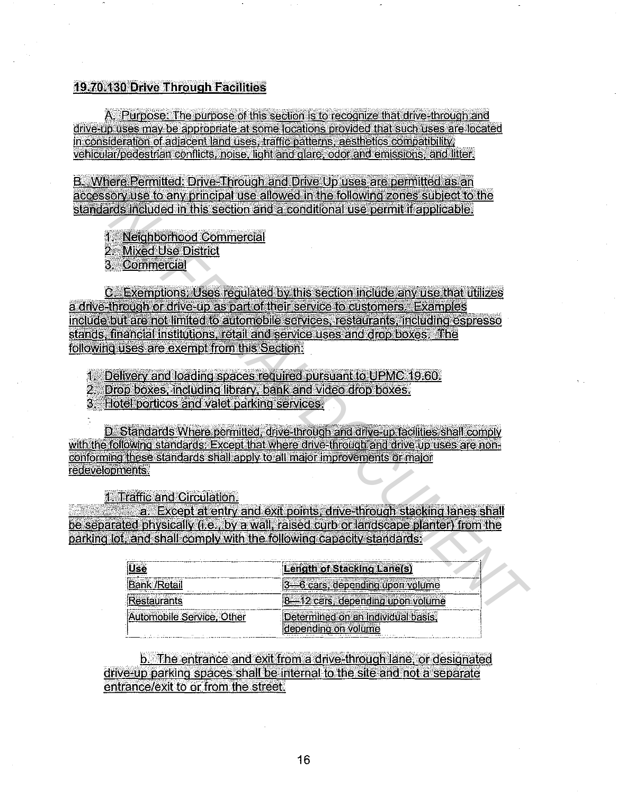### **1970-180 Drive Through Facilities**

A. Purpose: The purpose of this section is to recognize that drive-through and drive-up uses may be appropriate at some locations provided that such uses are located in consideration of adjacent land uses, traffic patterns, aesthetics compatibility; vehicular/pedestrian conflicts, noise, light and glare, odor and emissions, and litter.

**Example 1**<br>
Where Permitted: Drive-Through and Drive-Up uses are permitted as an<br>
consciousite to env phirophal tose above in the following zones subject to the<br>
andards included in this section and a conditional use perm

|                           | <b>Length of Stacking Lane(s)</b>  |
|---------------------------|------------------------------------|
| ık /Retai'                | 3-6 cars, depending upon volume    |
|                           | 8-12 cars, depending upon volume   |
| Automobile Service, Other | letermined on an individual basis, |
|                           | rebending on volume                |

b. The entrance and exit from a drive-through lane, or designated drive-up parking spaces shall be internal to the site and not a separate entrance/exit to or from the street.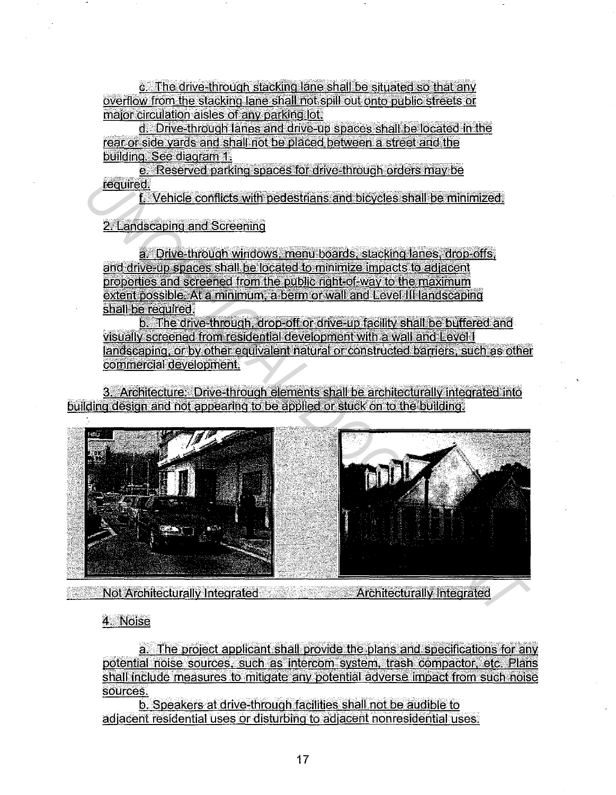c. The drive-through stacking lane shall be situated so that any overflow from the stacking lane shall not spill out onto public streets or major circulation aisles of any parking lot.

d. Drive-through lanes and drive-up spaces shall be located in the rear or side vards and shall not be placed between a street and the building. See diagram 1.

e. Reserved parking spaces for drive-through orders may be required.

f. Vehicle conflicts with pedestrians and bicycles shall be minimized.

# 2. Landscaping and Screening

a. Drive-through windows, menu boards, stacking lanes, drop-offs, and drive-up spaces shall be located to minimize impacts to adjacent properties and screened from the public right-of-way to the maximum extent possible. At a minimum, a berm or wall and Level III landscaping shall be required.

b. The drive-through, drop-off or drive-up facility shall be buffered and visually screened from residential development with a wall and Level I landscaping, or by other equivalent natural or constructed barriers, such as other commercial development.

3. Architecture: Drive-through elements shall be architecturally integrated into building design and not appearing to be applied or stuck on to the building.



**Example 2016** Not Architecturally Integrated **Contract Architecturally Integrated** 

# 4. Noise

a. The project applicant shall provide the plans and specifications for any potential noise sources, such as intercom system, trash compactor, etc. Plans shall include measures to mitigate any potential adverse impact from such noise sources.

b. Speakers at drive-through facilities shall not be audible to adiacent residential uses or disturbing to adjacent nonresidential uses.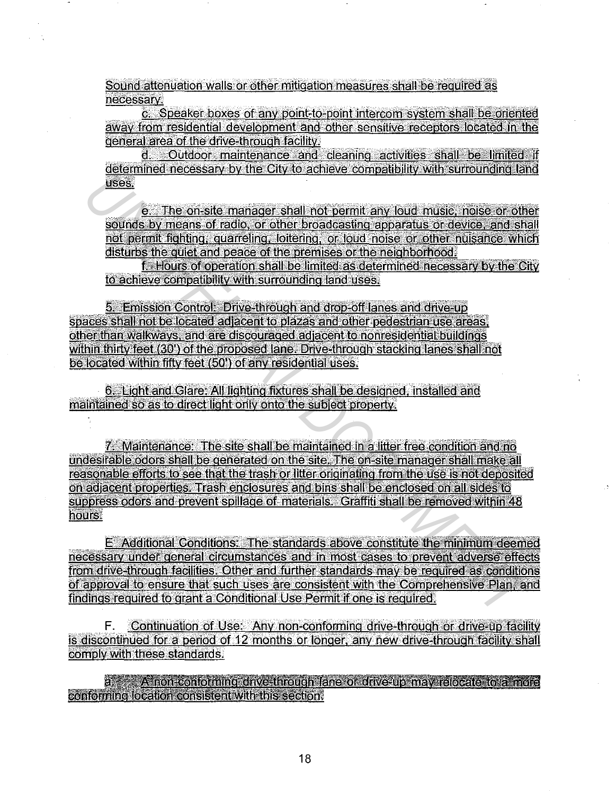Sound attenuation walls or other mitigation measures shall be required as necessary

c. Speaker boxes of any point-to-point intercom system shall be oriented away from residential development and other sensitive receptors located in the general area of the drive-through facility.

Outdoor maintenance and cleaning activities shall be limited if đ determined necessary by the City to achieve compatibility with surrounding land uses.

e. The on-site manager shall not permit any loud music, noise or other sounds by means of radio, or other broadcasting apparatus or device, and shall not permit fighting, quarreling, loitering, or loud noise or other nuisance which disturbs the quiet and peace of the premises or the neighborhood.

f. Hours of operation shall be limited as determined necessary by the City to achieve compatibility with surrounding land uses.

5. Emission Control: Drive-through and drop-off lanes and drive-up spaces shall not be located adjacent to plazas and other pedestrian use areas, other than walkways, and are discouraged adjacent to nonresidential buildings within thirty feet (30') of the proposed lane. Drive-through stacking lanes shall not be located within fifty feet (50') of any residential uses.

6. Light and Glare: All lighting fixtures shall be designed, installed and maintained so as to direct light only onto the subject property.

7. Maintenance: The site shall be maintained in a litter free condition and no undesirable odors shall be generated on the site. The on-site manager shall make all reasonable efforts to see that the trash or litter originating from the use is not deposited on adjacent properties. Trash enclosures and bins shall be enclosed on all sides to suppress odors and prevent spillage of materials. Graffiti shall be removed within 48 hours.

E Additional Conditions: The standards above constitute the minimum deemed necessary under general circumstances and in most cases to prevent adverse effects from drive-through facilities. Other and further standards may be required as conditions of approval to ensure that such uses are consistent with the Comprehensive Plan, and findings required to grant a Conditional Use Permit if one is required.

F. Continuation of Use: Any non-conforming drive-through or drive-up facility is discontinued for a period of 12 months or longer, any new drive-through facility shall comply with these standards.

a. A noneconforming dirvestmough sane of dirvesup may relocate to a more conforming location consistent with this section.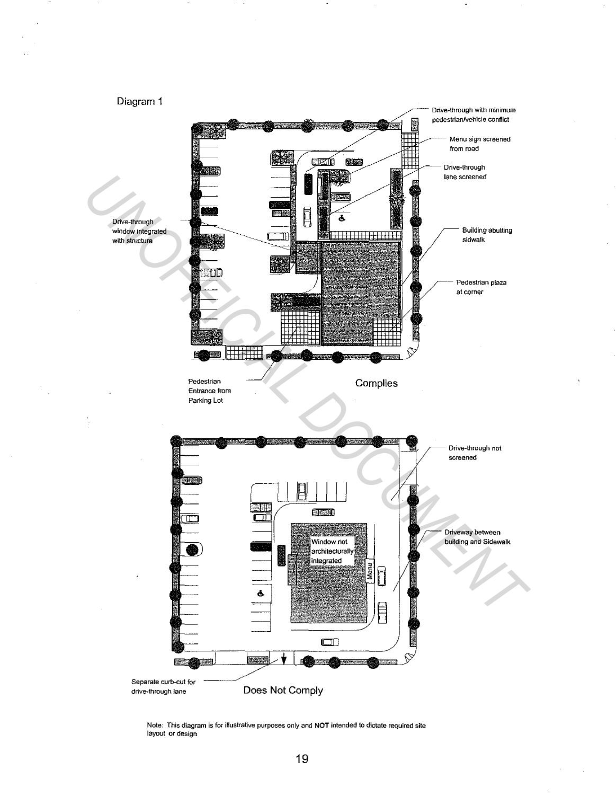

Note: This diagram is for illustrative purposes only and **NOT** intended to dictate required site layout or design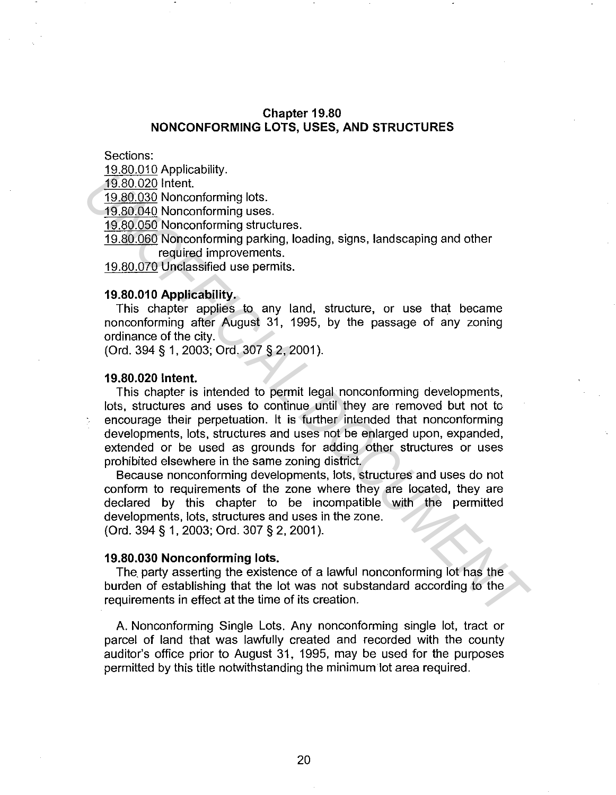### **Chapter 19.80 NONCONFORMING LOTS, USES, AND STRUCTURES**

Sections:

19.80.010 Applicability.

19.80.020 Intent.

19.80.030 Nonconforming lots.

19.80.040 Nonconforming uses.

19.80.050 Nonconforming structures.

19.80.060 Nonconforming parking, loading, signs, landscaping and other required improvements.

19.80.070 Unclassified use permits.

#### **19.80.01 O Applicability.**

This chapter applies to any land, structure, or use that became nonconforming after August 31, 1995, by the passage of any zoning ordinance of the city.

(Ord. 394 § 1, 2003; Ord. 307 § 2, 2001 ).

#### **19.80.020 Intent.**

This chapter is intended to permit legal nonconforming developments, lots, structures and uses to continue until they are removed but not to encourage their perpetuation. It is further intended that nonconforming developments, lots, structures and uses not be enlarged upon, expanded, extended or be used as grounds for adding other structures or uses prohibited elsewhere in the same zoning district. **USEAR OLD INTERNATE:**<br>
<u>USEAD ADD</u> Inferior.<br>
19.80.020 Inferior.<br>
19.80.020 Inferior.<br>
19.80.040 Nonconforming stress.<br>
19.80.060 Nonconforming parking, loading, signs, landscaping and other<br>
19.80.060 Nonconforming park

Because nonconforming developments, lots, structures and uses do not conform to requirements of the zone where they are located, they are declared by this chapter to be incompatible with the permitted developments, lots, structures and uses in the zone. (Ord. 394 § 1, 2003; Ord. 307 § 2, 2001 ).

#### **19.80.030 Nonconforming lots.**

The. party asserting the existence of a lawful nonconforming lot has the burden of establishing that the lot was not substandard according to the requirements in effect at the time of its creation.

A. Nonconforming Single Lots. Any nonconforming single lot, tract or parcel of land that was lawfully created and recorded with the county auditor's office prior to August 31, 1995, may be used for the purposes permitted by this title notwithstanding the minimum lot area required.